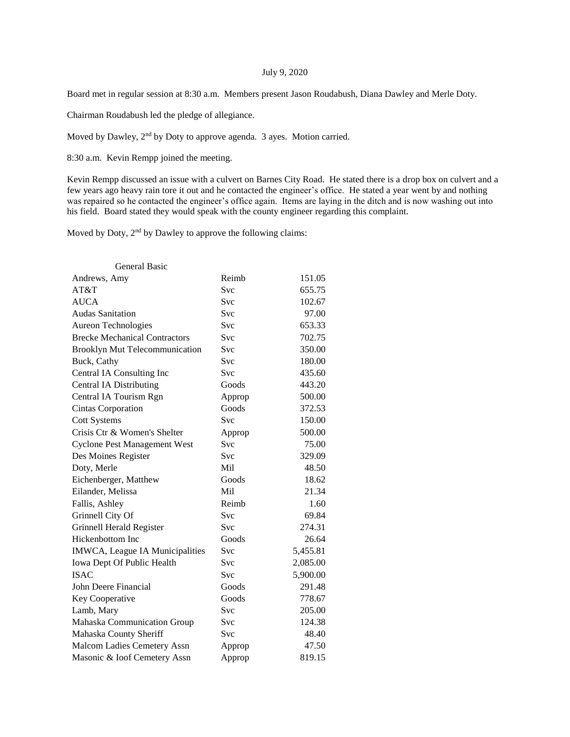## July 9, 2020

Board met in regular session at 8:30 a.m. Members present Jason Roudabush, Diana Dawley and Merle Doty.

Chairman Roudabush led the pledge of allegiance.

Moved by Dawley, 2nd by Doty to approve agenda. 3 ayes. Motion carried.

8:30 a.m. Kevin Rempp joined the meeting.

Kevin Rempp discussed an issue with a culvert on Barnes City Road. He stated there is a drop box on culvert and a few years ago heavy rain tore it out and he contacted the engineer's office. He stated a year went by and nothing was repaired so he contacted the engineer's office again. Items are laying in the ditch and is now washing out into his field. Board stated they would speak with the county engineer regarding this complaint.

Moved by Doty,  $2<sup>nd</sup>$  by Dawley to approve the following claims:

| <b>General Basic</b>                 |            |          |
|--------------------------------------|------------|----------|
| Andrews, Amy                         | Reimb      | 151.05   |
| AT&T                                 | <b>Svc</b> | 655.75   |
| <b>AUCA</b>                          | <b>Svc</b> | 102.67   |
| <b>Audas Sanitation</b>              | <b>Svc</b> | 97.00    |
| <b>Aureon Technologies</b>           | Svc        | 653.33   |
| <b>Brecke Mechanical Contractors</b> | <b>Svc</b> | 702.75   |
| Brooklyn Mut Telecommunication       | Svc        | 350.00   |
| Buck, Cathy                          | Svc        | 180.00   |
| Central IA Consulting Inc            | <b>Svc</b> | 435.60   |
| <b>Central IA Distributing</b>       | Goods      | 443.20   |
| Central IA Tourism Rgn               | Approp     | 500.00   |
| <b>Cintas Corporation</b>            | Goods      | 372.53   |
| <b>Cott Systems</b>                  | <b>Svc</b> | 150.00   |
| Crisis Ctr & Women's Shelter         | Approp     | 500.00   |
| <b>Cyclone Pest Management West</b>  | Svc        | 75.00    |
| Des Moines Register                  | <b>Svc</b> | 329.09   |
| Doty, Merle                          | Mil        | 48.50    |
| Eichenberger, Matthew                | Goods      | 18.62    |
| Eilander, Melissa                    | Mil        | 21.34    |
| Fallis, Ashley                       | Reimb      | 1.60     |
| Grinnell City Of                     | Svc        | 69.84    |
| Grinnell Herald Register             | <b>Svc</b> | 274.31   |
| Hickenbottom Inc                     | Goods      | 26.64    |
| IMWCA, League IA Municipalities      | <b>Svc</b> | 5,455.81 |
| Iowa Dept Of Public Health           | <b>Svc</b> | 2,085.00 |
| <b>ISAC</b>                          | <b>Svc</b> | 5,900.00 |
| John Deere Financial                 | Goods      | 291.48   |
| Key Cooperative                      | Goods      | 778.67   |
| Lamb, Mary                           | <b>Svc</b> | 205.00   |
| Mahaska Communication Group          | Svc        | 124.38   |
| Mahaska County Sheriff               | <b>Svc</b> | 48.40    |
| Malcom Ladies Cemetery Assn          | Approp     | 47.50    |
| Masonic & Ioof Cemetery Assn         | Approp     | 819.15   |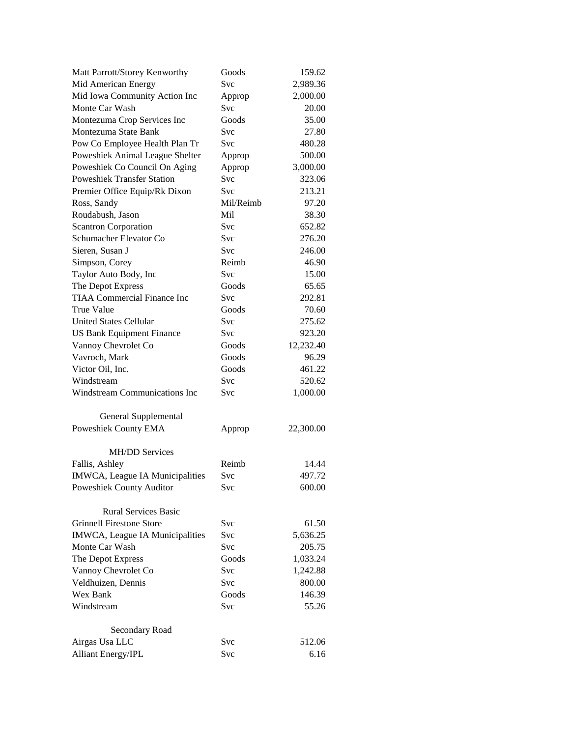| Matt Parrott/Storey Kenworthy      | Goods      | 159.62    |
|------------------------------------|------------|-----------|
| Mid American Energy                | Svc        | 2,989.36  |
| Mid Iowa Community Action Inc      | Approp     | 2,000.00  |
| Monte Car Wash                     | Svc        | 20.00     |
| Montezuma Crop Services Inc        | Goods      | 35.00     |
| Montezuma State Bank               | <b>Svc</b> | 27.80     |
| Pow Co Employee Health Plan Tr     | <b>Svc</b> | 480.28    |
| Poweshiek Animal League Shelter    | Approp     | 500.00    |
| Poweshiek Co Council On Aging      | Approp     | 3,000.00  |
| <b>Poweshiek Transfer Station</b>  | Svc        | 323.06    |
| Premier Office Equip/Rk Dixon      | Svc        | 213.21    |
| Ross, Sandy                        | Mil/Reimb  | 97.20     |
| Roudabush, Jason                   | Mil        | 38.30     |
| <b>Scantron Corporation</b>        | Svc        | 652.82    |
| Schumacher Elevator Co             | Svc        | 276.20    |
| Sieren, Susan J                    | <b>Svc</b> | 246.00    |
| Simpson, Corey                     | Reimb      | 46.90     |
| Taylor Auto Body, Inc              | Svc        | 15.00     |
| The Depot Express                  | Goods      | 65.65     |
| <b>TIAA Commercial Finance Inc</b> | Svc        | 292.81    |
| <b>True Value</b>                  | Goods      | 70.60     |
| <b>United States Cellular</b>      | Svc        | 275.62    |
| <b>US Bank Equipment Finance</b>   | Svc        | 923.20    |
| Vannoy Chevrolet Co                | Goods      | 12,232.40 |
| Vavroch, Mark                      | Goods      | 96.29     |
| Victor Oil, Inc.                   | Goods      | 461.22    |
| Windstream                         | <b>Svc</b> | 520.62    |
| Windstream Communications Inc      | Svc        | 1,000.00  |
|                                    |            |           |
| General Supplemental               |            |           |
| Poweshiek County EMA               | Approp     | 22,300.00 |
| <b>MH/DD Services</b>              |            |           |
| Fallis, Ashley                     | Reimb      | 14.44     |
| IMWCA, League IA Municipalities    | Svc        | 497.72    |
| <b>Poweshiek County Auditor</b>    | Svc        | 600.00    |
| <b>Rural Services Basic</b>        |            |           |
| Grinnell Firestone Store           | Svc        | 61.50     |
| IMWCA, League IA Municipalities    | Svc        | 5,636.25  |
| Monte Car Wash                     | Svc        | 205.75    |
| The Depot Express                  | Goods      | 1,033.24  |
| Vannoy Chevrolet Co                | <b>Svc</b> | 1,242.88  |
| Veldhuizen, Dennis                 | Svc        | 800.00    |
| Wex Bank                           | Goods      | 146.39    |
| Windstream                         | Svc        |           |
|                                    |            | 55.26     |
| Secondary Road                     |            |           |
| Airgas Usa LLC                     | Svc        | 512.06    |
| <b>Alliant Energy/IPL</b>          | Svc        | 6.16      |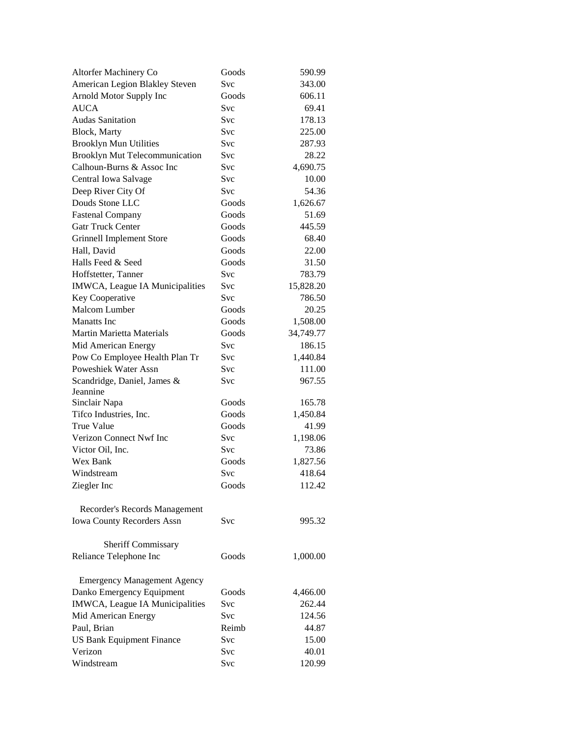| Altorfer Machinery Co              | Goods      | 590.99    |
|------------------------------------|------------|-----------|
| American Legion Blakley Steven     | Svc        | 343.00    |
| Arnold Motor Supply Inc            | Goods      | 606.11    |
| <b>AUCA</b>                        | Svc        | 69.41     |
| <b>Audas Sanitation</b>            | Svc        | 178.13    |
| Block, Marty                       | Svc        | 225.00    |
| <b>Brooklyn Mun Utilities</b>      | <b>Svc</b> | 287.93    |
| Brooklyn Mut Telecommunication     | Svc        | 28.22     |
| Calhoun-Burns & Assoc Inc          | Svc        | 4,690.75  |
| Central Iowa Salvage               | Svc        | 10.00     |
| Deep River City Of                 | Svc        | 54.36     |
| Douds Stone LLC                    | Goods      | 1,626.67  |
| <b>Fastenal Company</b>            | Goods      | 51.69     |
| <b>Gatr Truck Center</b>           | Goods      | 445.59    |
| <b>Grinnell Implement Store</b>    | Goods      | 68.40     |
| Hall, David                        | Goods      | 22.00     |
| Halls Feed & Seed                  | Goods      | 31.50     |
| Hoffstetter, Tanner                | Svc        | 783.79    |
| IMWCA, League IA Municipalities    | Svc        | 15,828.20 |
| Key Cooperative                    | Svc        | 786.50    |
| Malcom Lumber                      | Goods      | 20.25     |
| <b>Manatts</b> Inc                 | Goods      | 1,508.00  |
| <b>Martin Marietta Materials</b>   | Goods      | 34,749.77 |
| Mid American Energy                | Svc        | 186.15    |
| Pow Co Employee Health Plan Tr     | Svc        | 1,440.84  |
| Poweshiek Water Assn               | Svc        | 111.00    |
| Scandridge, Daniel, James &        | Svc        | 967.55    |
| Jeannine                           |            |           |
| Sinclair Napa                      | Goods      | 165.78    |
| Tifco Industries, Inc.             | Goods      | 1,450.84  |
| <b>True Value</b>                  | Goods      | 41.99     |
| Verizon Connect Nwf Inc            | Svc        | 1,198.06  |
| Victor Oil, Inc.                   | <b>Svc</b> | 73.86     |
| <b>Wex Bank</b>                    | Goods      | 1,827.56  |
| Windstream                         | Svc        | 418.64    |
| Ziegler Inc                        | Goods      | 112.42    |
|                                    |            |           |
| Recorder's Records Management      |            |           |
| <b>Iowa County Recorders Assn</b>  | Svc        | 995.32    |
|                                    |            |           |
| Sheriff Commissary                 |            |           |
| Reliance Telephone Inc             | Goods      | 1,000.00  |
|                                    |            |           |
| <b>Emergency Management Agency</b> |            |           |
| Danko Emergency Equipment          | Goods      | 4,466.00  |
| IMWCA, League IA Municipalities    | Svc        | 262.44    |
| Mid American Energy                | Svc        | 124.56    |
| Paul, Brian                        | Reimb      | 44.87     |
| <b>US Bank Equipment Finance</b>   | Svc        | 15.00     |
| Verizon                            | Svc        | 40.01     |
| Windstream                         | Svc        | 120.99    |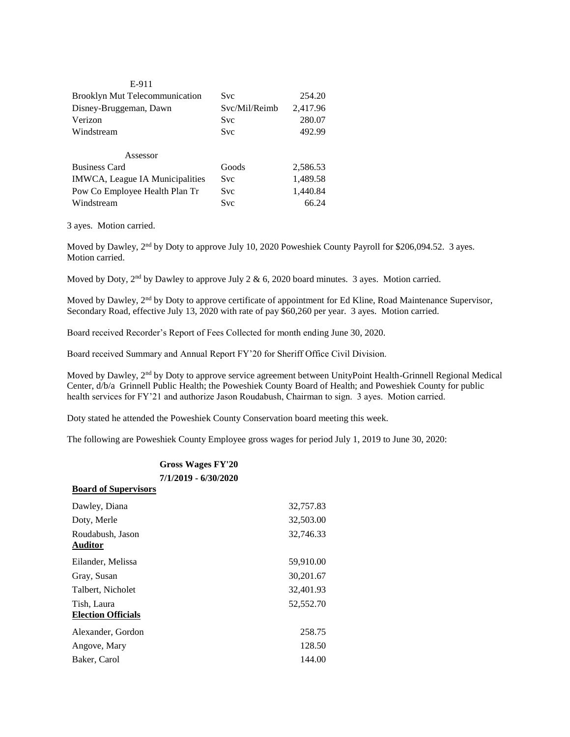| E-911                                 |               |          |
|---------------------------------------|---------------|----------|
| <b>Brooklyn Mut Telecommunication</b> | Svc           | 254.20   |
| Disney-Bruggeman, Dawn                | Svc/Mil/Reimb | 2,417.96 |
| Verizon                               | <b>Svc</b>    | 280.07   |
| Windstream                            | <b>Svc</b>    | 492.99   |
|                                       |               |          |
| Assessor                              |               |          |
| <b>Business Card</b>                  | Goods         | 2,586.53 |
| IMWCA, League IA Municipalities       | <b>Svc</b>    | 1,489.58 |
| Pow Co Employee Health Plan Tr        | <b>Svc</b>    | 1,440.84 |
| Windstream                            | <b>Svc</b>    | 66.24    |

3 ayes. Motion carried.

Moved by Dawley, 2<sup>nd</sup> by Doty to approve July 10, 2020 Poweshiek County Payroll for \$206,094.52. 3 ayes. Motion carried.

Moved by Doty,  $2<sup>nd</sup>$  by Dawley to approve July 2 & 6, 2020 board minutes. 3 ayes. Motion carried.

Moved by Dawley, 2<sup>nd</sup> by Doty to approve certificate of appointment for Ed Kline, Road Maintenance Supervisor, Secondary Road, effective July 13, 2020 with rate of pay \$60,260 per year. 3 ayes. Motion carried.

Board received Recorder's Report of Fees Collected for month ending June 30, 2020.

Board received Summary and Annual Report FY'20 for Sheriff Office Civil Division.

Moved by Dawley, 2nd by Doty to approve service agreement between UnityPoint Health-Grinnell Regional Medical Center, d/b/a Grinnell Public Health; the Poweshiek County Board of Health; and Poweshiek County for public health services for FY'21 and authorize Jason Roudabush, Chairman to sign. 3 ayes. Motion carried.

Doty stated he attended the Poweshiek County Conservation board meeting this week.

The following are Poweshiek County Employee gross wages for period July 1, 2019 to June 30, 2020:

## **Gross Wages FY'20 7/1/2019 - 6/30/2020 Board of Supervisors**

| Dawley, Diana                            | 32,757.83 |
|------------------------------------------|-----------|
| Doty, Merle                              | 32,503.00 |
| Roudabush, Jason<br><b>Auditor</b>       | 32,746.33 |
| Eilander, Melissa                        | 59,910.00 |
| Gray, Susan                              | 30,201.67 |
| Talbert, Nicholet                        | 32,401.93 |
| Tish, Laura<br><b>Election Officials</b> | 52,552.70 |
| Alexander, Gordon                        | 258.75    |
| Angove, Mary                             | 128.50    |
| Baker, Carol                             | 144.00    |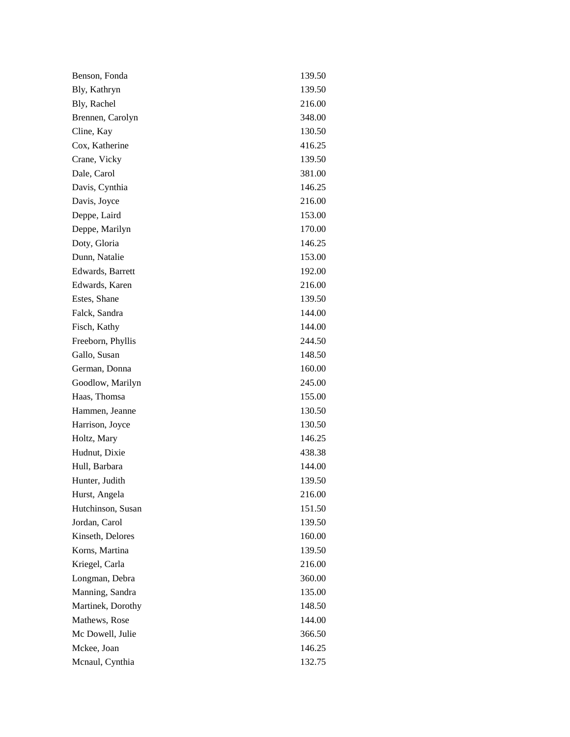| Benson, Fonda     | 139.50 |
|-------------------|--------|
| Bly, Kathryn      | 139.50 |
| Bly, Rachel       | 216.00 |
| Brennen, Carolyn  | 348.00 |
| Cline, Kay        | 130.50 |
| Cox, Katherine    | 416.25 |
| Crane, Vicky      | 139.50 |
| Dale, Carol       | 381.00 |
| Davis, Cynthia    | 146.25 |
| Davis, Joyce      | 216.00 |
| Deppe, Laird      | 153.00 |
| Deppe, Marilyn    | 170.00 |
| Doty, Gloria      | 146.25 |
| Dunn, Natalie     | 153.00 |
| Edwards, Barrett  | 192.00 |
| Edwards, Karen    | 216.00 |
| Estes, Shane      | 139.50 |
| Falck, Sandra     | 144.00 |
| Fisch, Kathy      | 144.00 |
| Freeborn, Phyllis | 244.50 |
| Gallo, Susan      | 148.50 |
| German, Donna     | 160.00 |
| Goodlow, Marilyn  | 245.00 |
| Haas, Thomsa      | 155.00 |
| Hammen, Jeanne    | 130.50 |
| Harrison, Joyce   | 130.50 |
| Holtz, Mary       | 146.25 |
| Hudnut, Dixie     | 438.38 |
| Hull, Barbara     | 144.00 |
| Hunter, Judith    | 139.50 |
| Hurst, Angela     | 216.00 |
| Hutchinson, Susan | 151.50 |
| Jordan, Carol     | 139.50 |
| Kinseth, Delores  | 160.00 |
| Korns, Martina    | 139.50 |
| Kriegel, Carla    | 216.00 |
| Longman, Debra    | 360.00 |
| Manning, Sandra   | 135.00 |
| Martinek, Dorothy | 148.50 |
| Mathews, Rose     | 144.00 |
| Mc Dowell, Julie  | 366.50 |
| Mckee, Joan       | 146.25 |
| Mcnaul, Cynthia   | 132.75 |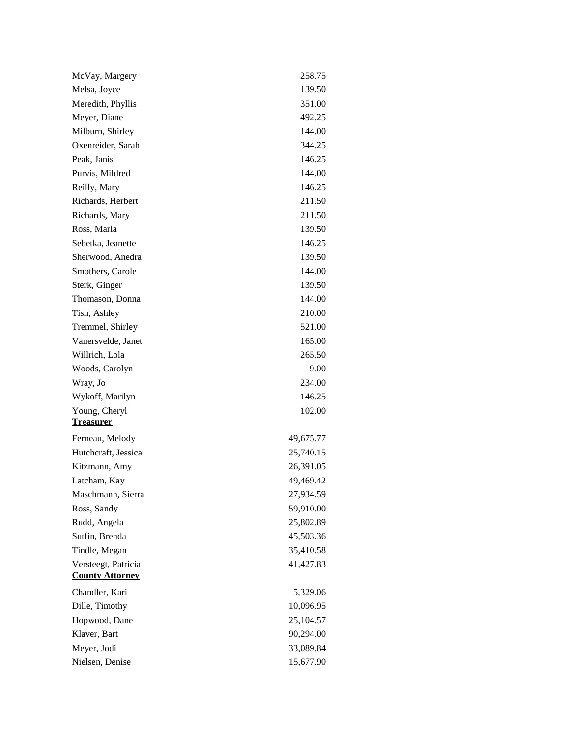| McVay, Margery                                | 258.75    |
|-----------------------------------------------|-----------|
| Melsa, Joyce                                  | 139.50    |
| Meredith, Phyllis                             | 351.00    |
| Meyer, Diane                                  | 492.25    |
| Milburn, Shirley                              | 144.00    |
| Oxenreider, Sarah                             | 344.25    |
| Peak, Janis                                   | 146.25    |
| Purvis, Mildred                               | 144.00    |
| Reilly, Mary                                  | 146.25    |
| Richards, Herbert                             | 211.50    |
| Richards, Mary                                | 211.50    |
| Ross, Marla                                   | 139.50    |
| Sebetka, Jeanette                             | 146.25    |
| Sherwood, Anedra                              | 139.50    |
| Smothers, Carole                              | 144.00    |
| Sterk, Ginger                                 | 139.50    |
| Thomason, Donna                               | 144.00    |
| Tish, Ashley                                  | 210.00    |
| Tremmel, Shirley                              | 521.00    |
| Vanersvelde, Janet                            | 165.00    |
| Willrich, Lola                                | 265.50    |
| Woods, Carolyn                                | 9.00      |
| Wray, Jo                                      | 234.00    |
| Wykoff, Marilyn                               | 146.25    |
| Young, Cheryl                                 | 102.00    |
| <b>Treasurer</b>                              |           |
| Ferneau, Melody                               | 49,675.77 |
| Hutchcraft, Jessica                           | 25,740.15 |
| Kitzmann, Amy                                 | 26,391.05 |
| Latcham, Kay                                  | 49,469.42 |
| Maschmann, Sierra                             | 27,934.59 |
| Ross, Sandy                                   | 59,910.00 |
| Rudd, Angela                                  | 25,802.89 |
| Sutfin, Brenda                                | 45,503.36 |
| Tindle, Megan                                 | 35,410.58 |
| Versteegt, Patricia<br><b>County Attorney</b> | 41,427.83 |
| Chandler, Kari                                | 5,329.06  |
| Dille, Timothy                                | 10,096.95 |
| Hopwood, Dane                                 | 25,104.57 |
| Klaver, Bart                                  | 90,294.00 |
| Meyer, Jodi                                   | 33,089.84 |
| Nielsen, Denise                               | 15,677.90 |
|                                               |           |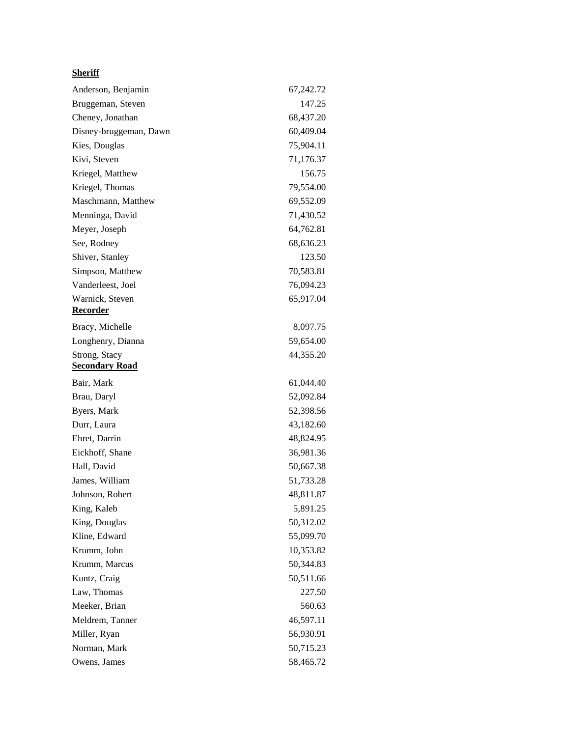## **Sheriff**

| Anderson, Benjamin                     | 67,242.72 |
|----------------------------------------|-----------|
| Bruggeman, Steven                      | 147.25    |
| Cheney, Jonathan                       | 68,437.20 |
| Disney-bruggeman, Dawn                 | 60,409.04 |
| Kies, Douglas                          | 75,904.11 |
| Kivi, Steven                           | 71,176.37 |
| Kriegel, Matthew                       | 156.75    |
| Kriegel, Thomas                        | 79,554.00 |
| Maschmann, Matthew                     | 69,552.09 |
| Menninga, David                        | 71,430.52 |
| Meyer, Joseph                          | 64,762.81 |
| See, Rodney                            | 68,636.23 |
| Shiver, Stanley                        | 123.50    |
| Simpson, Matthew                       | 70,583.81 |
| Vanderleest, Joel                      | 76,094.23 |
| Warnick, Steven<br><u>Recorder</u>     | 65,917.04 |
| Bracy, Michelle                        | 8,097.75  |
| Longhenry, Dianna                      | 59,654.00 |
| Strong, Stacy<br><b>Secondary Road</b> | 44,355.20 |
| Bair, Mark                             | 61,044.40 |
| Brau, Daryl                            | 52,092.84 |
| Byers, Mark                            | 52,398.56 |
| Durr, Laura                            | 43,182.60 |
| Ehret, Darrin                          | 48,824.95 |
| Eickhoff, Shane                        | 36,981.36 |
| Hall, David                            | 50,667.38 |
| James, William                         | 51,733.28 |
| Johnson, Robert                        | 48,811.87 |
| King, Kaleb                            | 5,891.25  |
| King, Douglas                          | 50,312.02 |
| Kline, Edward                          | 55,099.70 |
| Krumm, John                            | 10,353.82 |
| Krumm, Marcus                          | 50,344.83 |
| Kuntz, Craig                           | 50,511.66 |
| Law, Thomas                            | 227.50    |
| Meeker, Brian                          | 560.63    |
| Meldrem, Tanner                        | 46,597.11 |
| Miller, Ryan                           | 56,930.91 |
| Norman, Mark                           | 50,715.23 |
| Owens, James                           | 58,465.72 |
|                                        |           |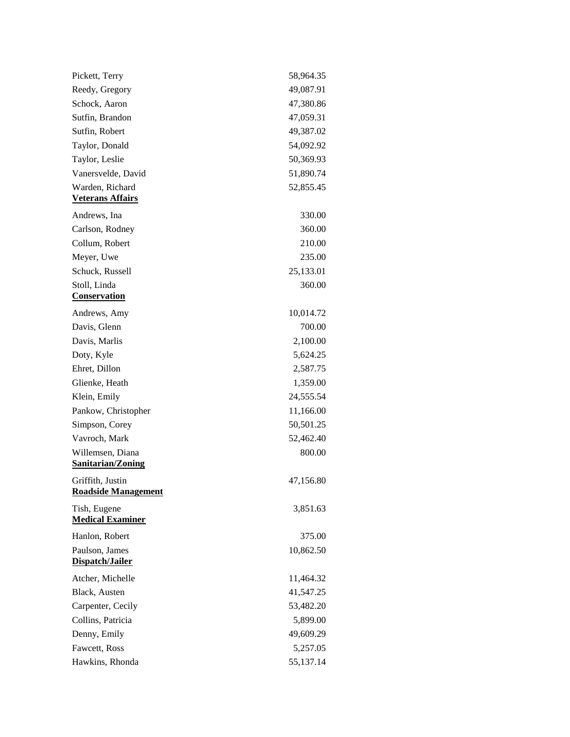| Pickett, Terry                                 | 58,964.35 |
|------------------------------------------------|-----------|
| Reedy, Gregory                                 | 49,087.91 |
| Schock, Aaron                                  | 47,380.86 |
| Sutfin, Brandon                                | 47,059.31 |
| Sutfin, Robert                                 | 49,387.02 |
| Taylor, Donald                                 | 54,092.92 |
| Taylor, Leslie                                 | 50,369.93 |
| Vanersvelde, David                             | 51,890.74 |
| Warden, Richard<br><b>Veterans Affairs</b>     | 52,855.45 |
| Andrews, Ina                                   | 330.00    |
| Carlson, Rodney                                | 360.00    |
| Collum, Robert                                 | 210.00    |
| Meyer, Uwe                                     | 235.00    |
| Schuck, Russell                                | 25,133.01 |
| Stoll, Linda<br>Conservation                   | 360.00    |
| Andrews, Amy                                   | 10,014.72 |
| Davis, Glenn                                   | 700.00    |
| Davis, Marlis                                  | 2,100.00  |
| Doty, Kyle                                     | 5,624.25  |
| Ehret, Dillon                                  | 2,587.75  |
| Glienke, Heath                                 | 1,359.00  |
| Klein, Emily                                   | 24,555.54 |
| Pankow, Christopher                            | 11,166.00 |
| Simpson, Corey                                 | 50,501.25 |
| Vavroch, Mark                                  | 52,462.40 |
| Willemsen, Diana<br><b>Sanitarian/Zoning</b>   | 800.00    |
| Griffith, Justin<br><b>Roadside Management</b> | 47,156.80 |
| Tish, Eugene<br><b>Medical Examiner</b>        | 3,851.63  |
| Hanlon, Robert                                 | 375.00    |
| Paulson, James<br>Dispatch/Jailer              | 10,862.50 |
| Atcher, Michelle                               | 11,464.32 |
| Black, Austen                                  | 41,547.25 |
| Carpenter, Cecily                              | 53,482.20 |
| Collins, Patricia                              | 5,899.00  |
| Denny, Emily                                   | 49,609.29 |
| Fawcett, Ross                                  | 5,257.05  |
| Hawkins, Rhonda                                | 55,137.14 |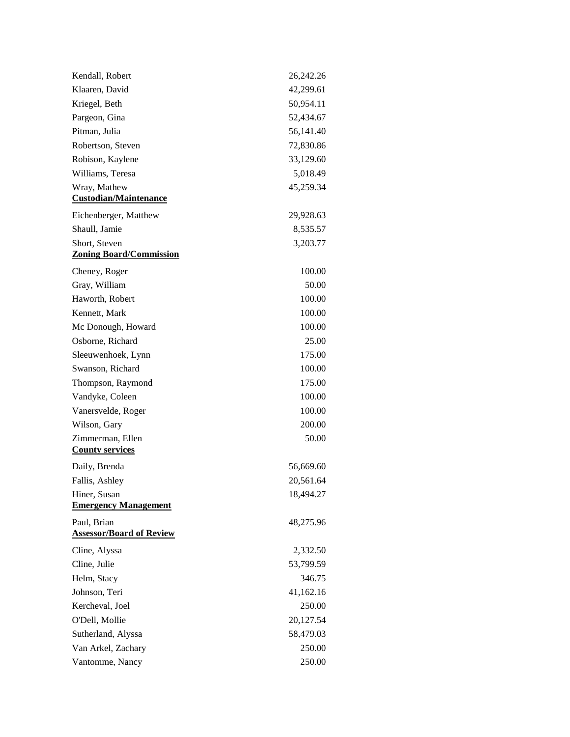| Kendall, Robert                                | 26,242.26 |
|------------------------------------------------|-----------|
| Klaaren, David                                 | 42,299.61 |
| Kriegel, Beth                                  | 50,954.11 |
| Pargeon, Gina                                  | 52,434.67 |
| Pitman, Julia                                  | 56,141.40 |
| Robertson, Steven                              | 72,830.86 |
| Robison, Kaylene                               | 33,129.60 |
| Williams, Teresa                               | 5,018.49  |
| Wray, Mathew<br><b>Custodian/Maintenance</b>   | 45,259.34 |
| Eichenberger, Matthew                          | 29,928.63 |
| Shaull, Jamie                                  | 8,535.57  |
| Short, Steven                                  | 3,203.77  |
| <b>Zoning Board/Commission</b>                 |           |
| Cheney, Roger                                  | 100.00    |
| Gray, William                                  | 50.00     |
| Haworth, Robert                                | 100.00    |
| Kennett, Mark                                  | 100.00    |
| Mc Donough, Howard                             | 100.00    |
| Osborne, Richard                               | 25.00     |
| Sleeuwenhoek, Lynn                             | 175.00    |
| Swanson, Richard                               | 100.00    |
| Thompson, Raymond                              | 175.00    |
| Vandyke, Coleen                                | 100.00    |
| Vanersvelde, Roger                             | 100.00    |
| Wilson, Gary                                   | 200.00    |
| Zimmerman, Ellen<br><b>County services</b>     | 50.00     |
| Daily, Brenda                                  | 56,669.60 |
| Fallis, Ashley                                 | 20,561.64 |
| Hiner, Susan<br><b>Emergency Management</b>    | 18,494.27 |
| Paul, Brian<br><b>Assessor/Board of Review</b> | 48,275.96 |
| Cline, Alyssa                                  | 2,332.50  |
| Cline, Julie                                   | 53,799.59 |
| Helm, Stacy                                    | 346.75    |
| Johnson, Teri                                  | 41,162.16 |
| Kercheval, Joel                                | 250.00    |
| O'Dell, Mollie                                 | 20,127.54 |
| Sutherland, Alyssa                             | 58,479.03 |
| Van Arkel, Zachary                             | 250.00    |
| Vantomme, Nancy                                | 250.00    |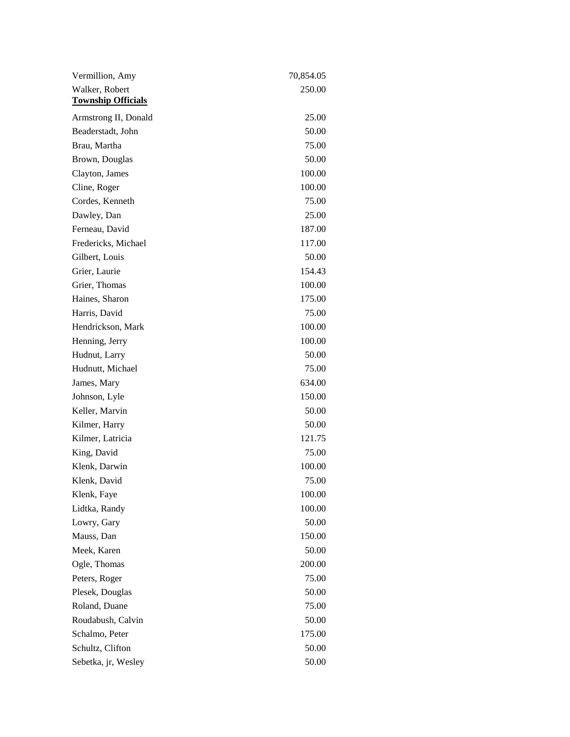| Vermillion, Amy                             | 70,854.05 |
|---------------------------------------------|-----------|
| Walker, Robert<br><b>Township Officials</b> | 250.00    |
| Armstrong II, Donald                        | 25.00     |
| Beaderstadt, John                           | 50.00     |
| Brau, Martha                                | 75.00     |
| Brown, Douglas                              | 50.00     |
| Clayton, James                              | 100.00    |
| Cline, Roger                                | 100.00    |
| Cordes, Kenneth                             | 75.00     |
| Dawley, Dan                                 | 25.00     |
| Ferneau, David                              | 187.00    |
| Fredericks, Michael                         | 117.00    |
| Gilbert, Louis                              | 50.00     |
| Grier, Laurie                               | 154.43    |
| Grier, Thomas                               | 100.00    |
| Haines, Sharon                              | 175.00    |
| Harris, David                               | 75.00     |
| Hendrickson, Mark                           | 100.00    |
| Henning, Jerry                              | 100.00    |
| Hudnut, Larry                               | 50.00     |
| Hudnutt, Michael                            | 75.00     |
| James, Mary                                 | 634.00    |
| Johnson, Lyle                               | 150.00    |
| Keller, Marvin                              | 50.00     |
| Kilmer, Harry                               | 50.00     |
| Kilmer, Latricia                            | 121.75    |
| King, David                                 | 75.00     |
| Klenk, Darwin                               | 100.00    |
| Klenk, David                                | 75.00     |
| Klenk, Faye                                 | 100.00    |
| Lidtka, Randy                               | 100.00    |
| Lowry, Gary                                 | 50.00     |
| Mauss, Dan                                  | 150.00    |
| Meek, Karen                                 | 50.00     |
| Ogle, Thomas                                | 200.00    |
| Peters, Roger                               | 75.00     |
| Plesek, Douglas                             | 50.00     |
| Roland, Duane                               | 75.00     |
| Roudabush, Calvin                           | 50.00     |
| Schalmo, Peter                              | 175.00    |
| Schultz, Clifton                            | 50.00     |
| Sebetka, jr, Wesley                         | 50.00     |